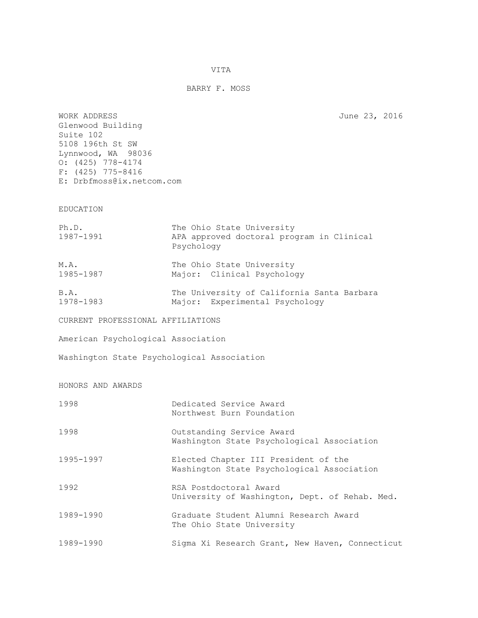VITA

## BARRY F. MOSS

WORK ADDRESS June 23, 2016

| Glenwood Building<br>Suite 102<br>5108 196th St SW<br>Lynnwood, WA 98036<br>$0: (425)$ 778-4174<br>$F: (425)$ 775-8416<br>E: Drbfmoss@ix.netcom.com |                                                                                      |
|-----------------------------------------------------------------------------------------------------------------------------------------------------|--------------------------------------------------------------------------------------|
| EDUCATION                                                                                                                                           |                                                                                      |
| Ph.D.<br>1987-1991                                                                                                                                  | The Ohio State University<br>APA approved doctoral program in Clinical<br>Psychology |
| M.A.<br>1985-1987                                                                                                                                   | The Ohio State University<br>Major: Clinical Psychology                              |
| B.A.<br>1978-1983                                                                                                                                   | The University of California Santa Barbara<br>Major: Experimental Psychology         |
| CURRENT PROFESSIONAL AFFILIATIONS                                                                                                                   |                                                                                      |
| American Psychological Association                                                                                                                  |                                                                                      |
| Washington State Psychological Association                                                                                                          |                                                                                      |
| HONORS AND AWARDS                                                                                                                                   |                                                                                      |
| 1998                                                                                                                                                | Dedicated Service Award<br>Northwest Burn Foundation                                 |
| 1998                                                                                                                                                | Outstanding Service Award<br>Washington State Psychological Association              |
| 1995-1997                                                                                                                                           | Elected Chapter III President of the<br>Washington State Psychological Association   |
| 1992                                                                                                                                                | RSA Postdoctoral Award<br>University of Washington, Dept. of Rehab. Med.             |
| 1989-1990                                                                                                                                           | Graduate Student Alumni Research Award<br>The Ohio State University                  |
| 1989-1990                                                                                                                                           | Sigma Xi Research Grant, New Haven, Connecticut                                      |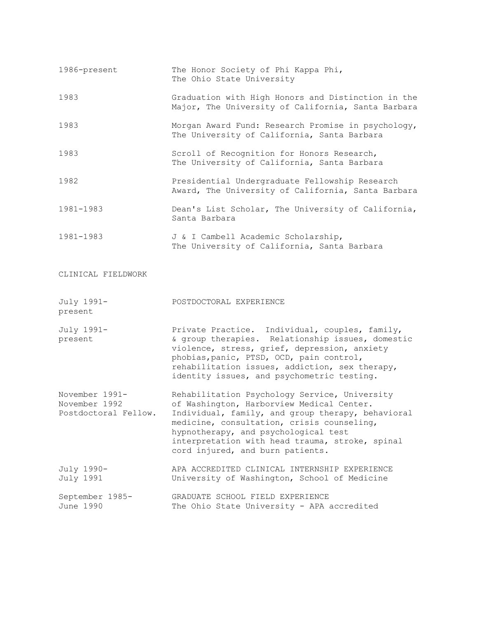| 1986-present                                            | The Honor Society of Phi Kappa Phi,<br>The Ohio State University                                                                                                                                                                                                                               |
|---------------------------------------------------------|------------------------------------------------------------------------------------------------------------------------------------------------------------------------------------------------------------------------------------------------------------------------------------------------|
| 1983                                                    | Graduation with High Honors and Distinction in the<br>Major, The University of California, Santa Barbara                                                                                                                                                                                       |
| 1983                                                    | Morgan Award Fund: Research Promise in psychology,<br>The University of California, Santa Barbara                                                                                                                                                                                              |
| 1983                                                    | Scroll of Recognition for Honors Research,<br>The University of California, Santa Barbara                                                                                                                                                                                                      |
| 1982                                                    | Presidential Undergraduate Fellowship Research<br>Award, The University of California, Santa Barbara                                                                                                                                                                                           |
| 1981-1983                                               | Dean's List Scholar, The University of California,<br>Santa Barbara                                                                                                                                                                                                                            |
| 1981-1983                                               | J & I Cambell Academic Scholarship,<br>The University of California, Santa Barbara                                                                                                                                                                                                             |
| CLINICAL FIELDWORK                                      |                                                                                                                                                                                                                                                                                                |
| July 1991-<br>present                                   | POSTDOCTORAL EXPERIENCE                                                                                                                                                                                                                                                                        |
| July 1991-<br>present                                   | Private Practice. Individual, couples, family,<br>& group therapies. Relationship issues, domestic<br>violence, stress, grief, depression, anxiety<br>phobias, panic, PTSD, OCD, pain control,<br>rehabilitation issues, addiction, sex therapy,<br>identity issues, and psychometric testing. |
| November 1991-<br>November 1992<br>Postdoctoral Fellow. | Rehabilitation Psychology Service, University<br>of Washington, Harborview Medical Center.<br>Individual, family, and group therapy, behavioral<br>medicine, consultation, crisis counseling,                                                                                                  |

- hypnotherapy, and psychological test interpretation with head trauma, stroke, spinal cord injured, and burn patients.
- July 1990- APA ACCREDITED CLINICAL INTERNSHIP EXPERIENCE<br>July 1991 University of Washington, School of Medicine University of Washington, School of Medicine September 1985- GRADUATE SCHOOL FIELD EXPERIENCE June 1990 The Ohio State University - APA accredited